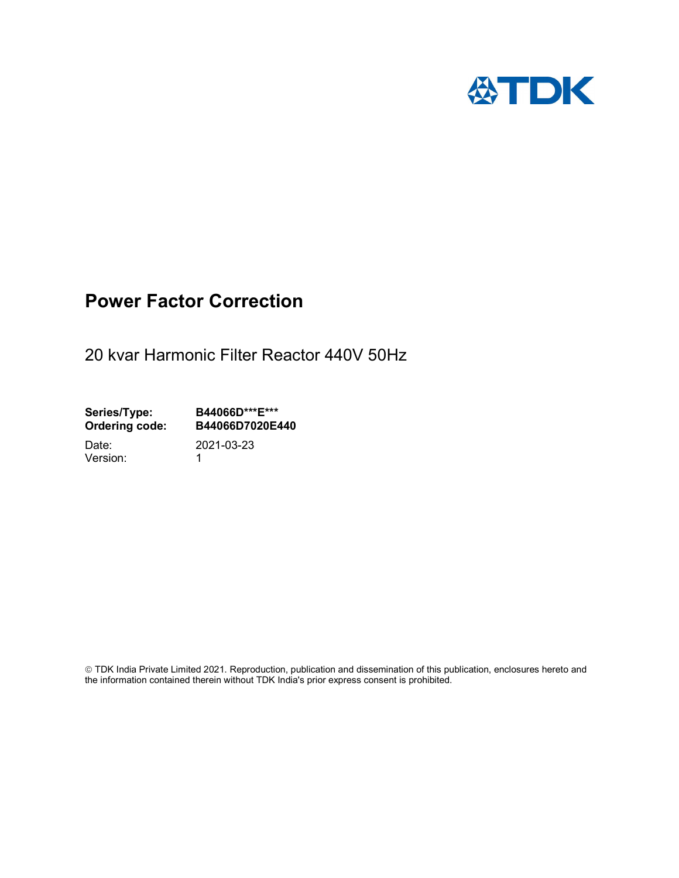

# Power Factor Correction

20 kvar Harmonic Filter Reactor 440V 50Hz

Series/Type: B44066D\*\*\*E\*\*\* Ordering code: B44066D7020E440

Version: 1

Date: 2021-03-23

 TDK India Private Limited 2021. Reproduction, publication and dissemination of this publication, enclosures hereto and the information contained therein without TDK India's prior express consent is prohibited.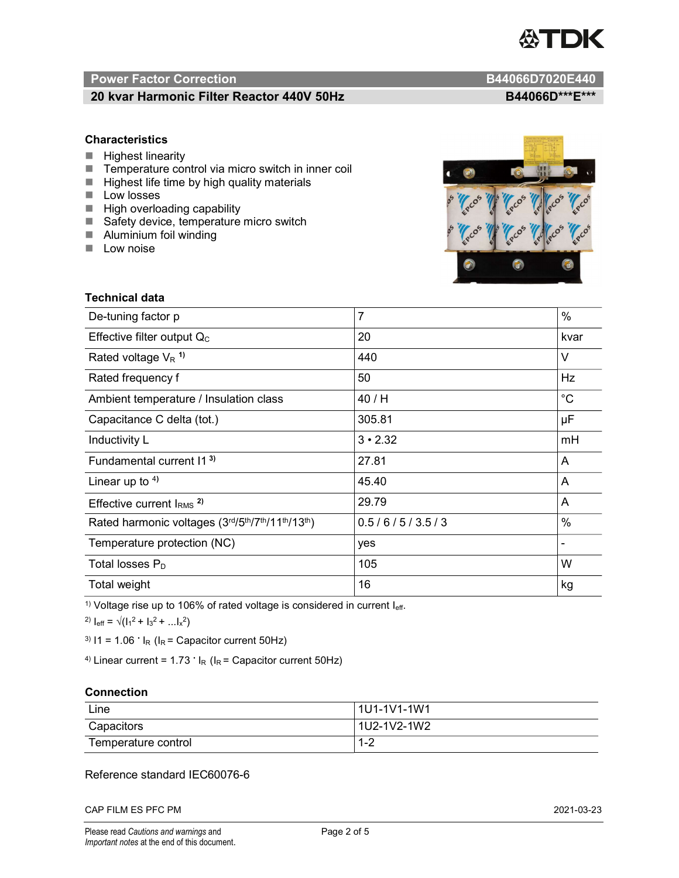

# Power Factor Correction and Content of the Content of the B44066D7020E440

# 20 kvar Harmonic Filter Reactor 440V 50Hz BA4066D\*\*\*E\*\*\*

## **Characteristics**

- $H$  Highest linearity
- Temperature control via micro switch in inner coil
- $\blacksquare$  Highest life time by high quality materials
- **Low losses**
- $\blacksquare$  High overloading capability
- Safety device, temperature micro switch
- **Aluminium foil winding**
- **Low noise**



| Technical data                                  |                |             |  |
|-------------------------------------------------|----------------|-------------|--|
| De-tuning factor p                              | $\overline{7}$ | %           |  |
| Effective filter output $Q_C$                   | 20             | kvar        |  |
| Rated voltage $V_R$ <sup>1)</sup>               | 440            | V           |  |
| Rated frequency f                               | 50             | Hz          |  |
| Ambient temperature / Insulation class          | 40 / H         | $^{\circ}C$ |  |
| Capacitance C delta (tot.)                      | 305.81         | μF          |  |
| Inductivity L                                   | $3 \cdot 2.32$ | mH          |  |
| Fundamental current 11 <sup>3)</sup>            | 27.81          | A           |  |
| Linear up to $4$ )                              | 45.40          | A           |  |
| Effective current $IRMS$ <sup>2)</sup>          | 29.79          | A           |  |
| Rated harmonic voltages (3rd/5th/7th/11th/13th) | 0.5/6/5/3.5/3  | %           |  |
| Temperature protection (NC)                     | yes            |             |  |
| Total losses $P_D$                              | 105            | W           |  |
| Total weight                                    | 16             | kg          |  |

<sup>1)</sup> Voltage rise up to 106% of rated voltage is considered in current  $I_{\text{eff}}$ .

<sup>2)</sup>  $I_{eff} = \sqrt{(I_1^2 + I_3^2 + ... I_x^2)}$ 

<sup>3)</sup>  $11 = 1.06$   $\cdot$   $I_R$  ( $I_R$  = Capacitor current 50Hz)

<sup>4)</sup> Linear current =  $1.73$   $\cdot$  I<sub>R</sub> (I<sub>R</sub> = Capacitor current 50Hz)

### **Connection**

| Line                | l 1U1-1V1-1W1       |
|---------------------|---------------------|
| Capacitors          | l 1U2-1V2-1W2       |
| Temperature control | <u> 4 ຕ</u><br>ے- ا |

## Reference standard IEC60076-6

CAP FILM ES PFC PM 2021-03-23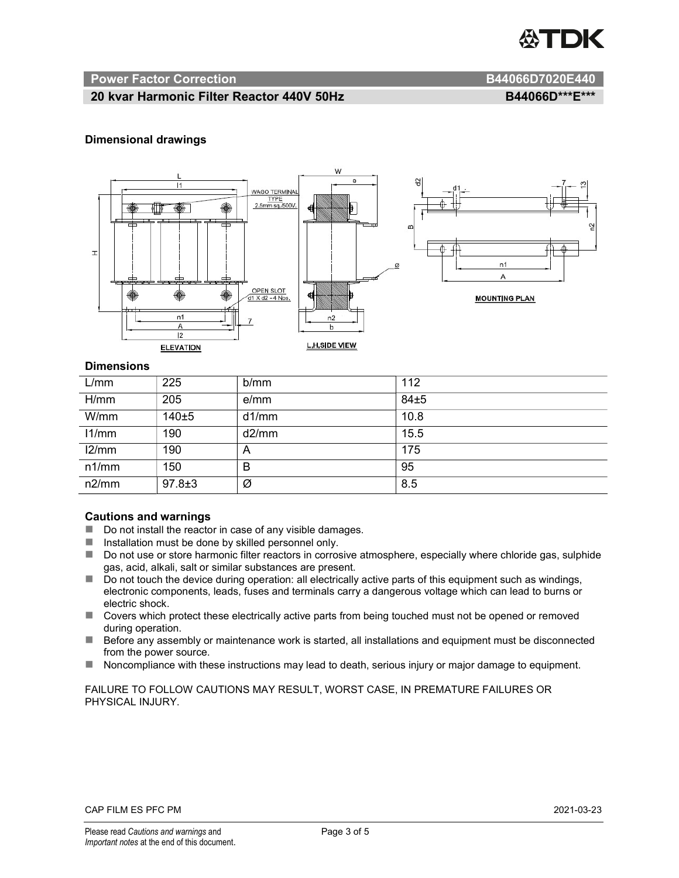

#### Power Factor Correction and B44066D7020E440

# 20 kvar Harmonic Filter Reactor 440V 50Hz BA4066D\*\*\*E\*\*\*

#### Dimensional drawings



#### **Dimensions**

| L/mm  | 225          | b/mm  | 112  |
|-------|--------------|-------|------|
| H/mm  | 205          | e/mm  | 84±5 |
| W/mm  | 140±5        | d1/mm | 10.8 |
| 11/mm | 190          | d2/mm | 15.5 |
| 12/mm | 190          | A     | 175  |
| n1/mm | 150          | B     | 95   |
| n2/mm | $97.8 \pm 3$ | Ø     | 8.5  |

#### Cautions and warnings

- Do not install the reactor in case of any visible damages.
- $\blacksquare$  Installation must be done by skilled personnel only.
- Do not use or store harmonic filter reactors in corrosive atmosphere, especially where chloride gas, sulphide gas, acid, alkali, salt or similar substances are present.
- Do not touch the device during operation: all electrically active parts of this equipment such as windings, electronic components, leads, fuses and terminals carry a dangerous voltage which can lead to burns or electric shock.
- Covers which protect these electrically active parts from being touched must not be opened or removed during operation.
- Before any assembly or maintenance work is started, all installations and equipment must be disconnected from the power source.
- Noncompliance with these instructions may lead to death, serious injury or major damage to equipment.

FAILURE TO FOLLOW CAUTIONS MAY RESULT, WORST CASE, IN PREMATURE FAILURES OR PHYSICAL INJURY.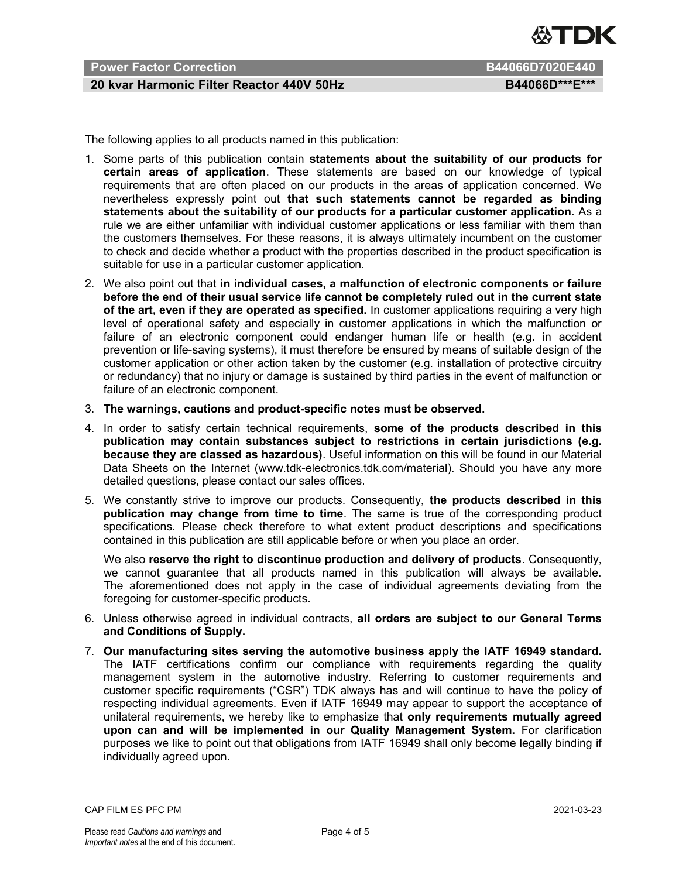

# Power Factor Correction **B44066D7020E440**

# 20 kvar Harmonic Filter Reactor 440V 50Hz BA4066D\*\*\*E\*\*\*

The following applies to all products named in this publication:

- 1. Some parts of this publication contain statements about the suitability of our products for certain areas of application. These statements are based on our knowledge of typical requirements that are often placed on our products in the areas of application concerned. We nevertheless expressly point out that such statements cannot be regarded as binding statements about the suitability of our products for a particular customer application. As a rule we are either unfamiliar with individual customer applications or less familiar with them than the customers themselves. For these reasons, it is always ultimately incumbent on the customer to check and decide whether a product with the properties described in the product specification is suitable for use in a particular customer application.
- 2. We also point out that in individual cases, a malfunction of electronic components or failure before the end of their usual service life cannot be completely ruled out in the current state of the art, even if they are operated as specified. In customer applications requiring a very high level of operational safety and especially in customer applications in which the malfunction or failure of an electronic component could endanger human life or health (e.g. in accident prevention or life-saving systems), it must therefore be ensured by means of suitable design of the customer application or other action taken by the customer (e.g. installation of protective circuitry or redundancy) that no injury or damage is sustained by third parties in the event of malfunction or failure of an electronic component.
- 3. The warnings, cautions and product-specific notes must be observed.
- 4. In order to satisfy certain technical requirements, some of the products described in this publication may contain substances subject to restrictions in certain jurisdictions (e.g. because they are classed as hazardous). Useful information on this will be found in our Material Data Sheets on the Internet (www.tdk-electronics.tdk.com/material). Should you have any more detailed questions, please contact our sales offices.
- 5. We constantly strive to improve our products. Consequently, the products described in this publication may change from time to time. The same is true of the corresponding product specifications. Please check therefore to what extent product descriptions and specifications contained in this publication are still applicable before or when you place an order.

We also reserve the right to discontinue production and delivery of products. Consequently, we cannot guarantee that all products named in this publication will always be available. The aforementioned does not apply in the case of individual agreements deviating from the foregoing for customer-specific products.

- 6. Unless otherwise agreed in individual contracts, all orders are subject to our General Terms and Conditions of Supply.
- 7. Our manufacturing sites serving the automotive business apply the IATF 16949 standard. The IATF certifications confirm our compliance with requirements regarding the quality management system in the automotive industry. Referring to customer requirements and customer specific requirements ("CSR") TDK always has and will continue to have the policy of respecting individual agreements. Even if IATF 16949 may appear to support the acceptance of unilateral requirements, we hereby like to emphasize that only requirements mutually agreed upon can and will be implemented in our Quality Management System. For clarification purposes we like to point out that obligations from IATF 16949 shall only become legally binding if individually agreed upon.